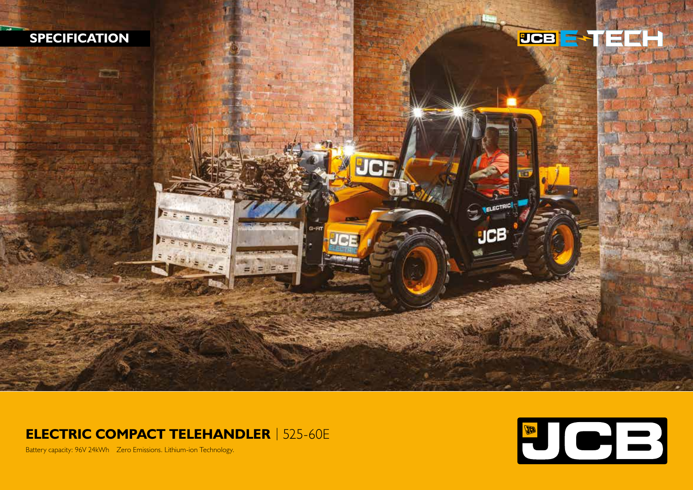

## **ELECTRIC COMPACT TELEHANDLER** | 525-60E



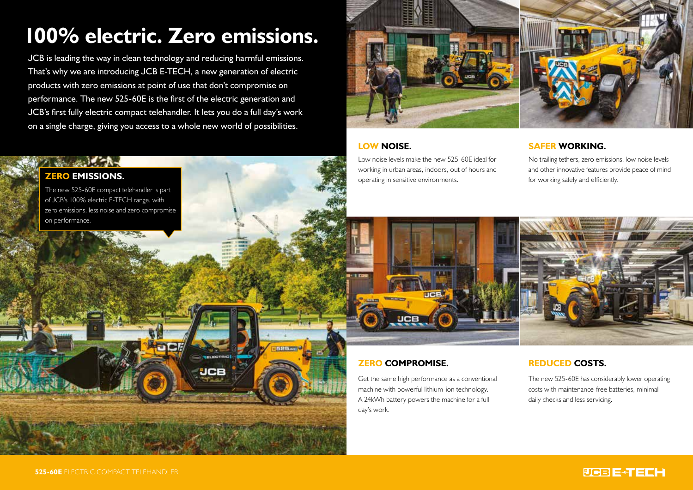# **100% electric. Zero emissions.**

JCB is leading the way in clean technology and reducing harmful emissions. That's why we are introducing JCB E-TECH, a new generation of electric products with zero emissions at point of use that don't compromise on performance. The new 525-60E is the first of the electric generation and JCB's first fully electric compact telehandler. It lets you do a full day's work on a single charge, giving you access to a whole new world of possibilities.

**UCR** 



## **LOW NOISE.**

Low noise levels make the new 525-60E ideal for working in urban areas, indoors, out of hours and operating in sensitive environments.

## **SAFER WORKING.**

No trailing tethers, zero emissions, low noise levels and other innovative features provide peace of mind for working safely and efficiently.



## **ZERO COMPROMISE.**

Get the same high performance as a conventional machine with powerful lithium-ion technology. A 24kWh battery powers the machine for a full day's work.

## **REDUCED COSTS.**

The new 525-60E has considerably lower operating costs with maintenance-free batteries, minimal daily checks and less servicing.

## **525-60E** ELECTRIC COMPACT TELEHANDLER

**ZERO EMISSIONS.**

on performance.

The new 525-60E compact telehandler is part of JCB's 100% electric E-TECH range, with zero emissions, less noise and zero compromise

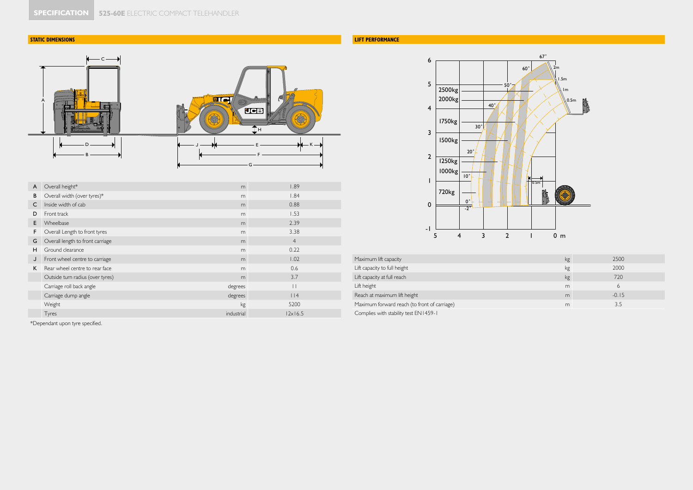## **STATIC DIMENSIONS**



| A | Overall height*                  | m          | 1.89            |
|---|----------------------------------|------------|-----------------|
| в | Overall width (over tyres)*      | m          | 1.84            |
| C | Inside width of cab              | m          | 0.88            |
| D | Front track                      | m          | 1.53            |
| E | Wheelbase                        | m          | 2.39            |
| F | Overall Length to front tyres    | m          | 3.38            |
| G | Overall length to front carriage | m          | $\overline{4}$  |
| H | Ground clearance                 | m          | 0.22            |
| J | Front wheel centre to carriage   | m          | 1.02            |
| K | Rear wheel centre to rear face   | m          | 0.6             |
|   | Outside turn radius (over tyres) | m          | 3.7             |
|   | Carriage roll back angle         | degrees    | $\vert \ \vert$ |
|   | Carriage dump angle              | degrees    | $ $  4          |
|   | Weight                           | kg         | 5200            |
|   | Tyres                            | industrial | $ 2x $ 6.5      |

\*Dependant upon tyre specified.

## **LIFT PERFORMANCE**



| Maximum lift capacity                        | kg | 2500    |
|----------------------------------------------|----|---------|
| Lift capacity to full height                 | kg | 2000    |
| Lift capacity at full reach                  | kg | 720     |
| Lift height                                  | m  |         |
| Reach at maximum lift height                 | m  | $-0.15$ |
| Maximum forward reach (to front of carriage) | m  | 3.5     |
| Complies with stability test EN1459-1        |    |         |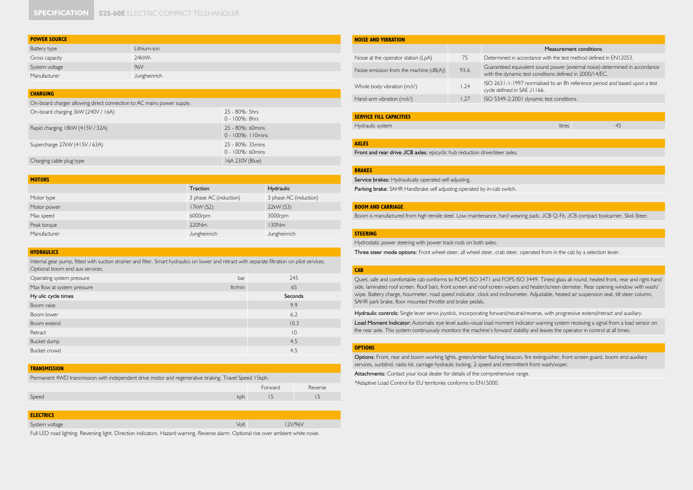| <b>POWER SOURCE</b> |              |  |
|---------------------|--------------|--|
| Battery type        | Lithium-ion  |  |
| Gross capacity      | 24kWh        |  |
| System voltage      | 96V          |  |
| Manufacturer        | Jungheinrich |  |

#### **CHARGING**

On-board charger allowing direct connection to AC mains power supply.

| On-board charging 3kW (240V / 16A) | 25 - 80%: 5hrs<br>0 - 100%: 8hrs           |
|------------------------------------|--------------------------------------------|
| Rapid charging 18kW (415V / 32A)   | 25 - 80%: 60mins<br>$0 - 100\%$ : 110 mins |
| Supercharge 27kW (415V / 63A)      | 25 - 80%: 35mins<br>$0 - 100\%$ : 60 mins  |
| Charging cable plug type           | 16A 230V (Blue)                            |

| <b>MOTORS</b> |                        |                        |
|---------------|------------------------|------------------------|
|               | Traction               | Hydraulic              |
| Motor type    | 3 phase AC (induction) | 3 phase AC (induction) |
| Motor power   | 17kW (S2)              | 22kW (S3)              |
| Max speed     | 6000rpm                | 3000rpm                |
| Peak torque   | 220Nm                  | 130Nm                  |
| Manufacturer  | Jungheinrich           | Jungheinrich           |

#### **HYDRAULICS**

Internal gear pump, fitted with suction strainer and filter. Smart hydraulics on lower and retract with separate filtration on pilot services. Optional boom end aux services.

| Operating system pressure   | bar     | 245         |
|-----------------------------|---------|-------------|
| Max flow at system pressure | ltr/min | 65          |
| Hy ulic cycle times         |         | Seconds     |
| Boom raise                  |         | 9.9         |
| Boom lower                  |         | 6.2         |
| Boom extend                 |         | 10.3        |
| Retract                     |         | $ 0\rangle$ |
| Bucket dump                 |         | 4.5         |
| Bucket crowd                |         | 4.5         |
|                             |         |             |

#### **TRANSMISSION**

Permanent 4WD transmission with independent drive motor and regenerative braking. Travel Speed 15kph.

|       |     | Forward | Reverse |
|-------|-----|---------|---------|
| Speed | kph | . .     | $\sim$  |
|       |     |         |         |

| <b>ELECTRICS</b>                |      |        |
|---------------------------------|------|--------|
| $\sim$ $\sim$<br>System voltage | Volt | 2V/96V |

Full LED road lighting. Reversing light. Direction indicators. Hazard warning. Reverse alarm. Optional rise over ambient white noise.

| <b>NOISE AND VIBRATION</b>               |      |                                                                                                                                        |  |
|------------------------------------------|------|----------------------------------------------------------------------------------------------------------------------------------------|--|
|                                          |      | Measurement conditions                                                                                                                 |  |
| Noise at the operator station (LpA)      | 75   | Determined in accordance with the test method defined in FN12053.                                                                      |  |
| Noise emission from the machine (dB(A))  | 93.6 | Guaranteed equivalent sound power (external noise) determined in accordance<br>with the dynamic test conditions defined in 2000/14/EC. |  |
| Whole body vibration (m/s <sup>2</sup> ) | 1.24 | ISO 2631-1:1997 normalised to an 8h reference period and based upon a test<br>cycle defined in SAE J1166.                              |  |
| Hand-arm vibration $(m/s2)$              | 1.27 | ISO 5349-2:2001 dynamic test conditions.                                                                                               |  |

#### **SERVICE FILL CAPACITIES**

Hydraulic system litres 45

#### **AXLES**

Front and rear drive JCB axles: epicyclic hub reduction drive/steer axles.

#### **BRAKES**

Service brakes: Hydraulically operated self-adjusting.

Parking brake: SAHR Handbrake self adjusting operated by in-cab switch.

#### **BOOM AND CARRIAGE**

Boom is manufactured from high tensile steel. Low maintenance, hard wearing pads. JCB Q-Fit, JCB compact toolcarrier, Skid-Steer.

#### **STEERING**

Hydrostatic power steering with power track rods on both axles.

Three steer mode options: Front wheel steer, all wheel steer, crab steer, operated from in the cab by a selection lever.

#### **CAB**

Quiet, safe and comfortable cab conforms to ROPS ISO 3471 and FOPS ISO 3449. Tinted glass all round, heated front, rear and right-hand side, laminated roof screen. Roof bars, front screen and roof screen wipers and heater/screen demister. Rear opening window with wash/ wipe. Battery charge, hourmeter, road speed indicator, clock and inclinometer. Adjustable, heated air suspension seat, tilt steer column, SAHR park brake, floor mounted throttle and brake pedals.

Hydraulic controls: Single lever servo joystick, incorporating forward/neutral/reverse, with progressive extend/retract and auxiliary.

Load Moment Indicator: Automatic eye level audio-visual load moment indicator warning system receiving a signal from a load sensor on the rear axle. This system continuously monitors the machine's forward stability and leaves the operator in control at all times.

#### **OPTIONS**

Options: Front, rear and boom working lights, green/amber flashing beacon, fire extinguisher, front screen guard, boom end auxiliary services, sunblind, radio kit, carriage hydraulic locking, 2-speed and intermittent front wash/wiper.

Attachments: Contact your local dealer for details of the comprehensive range.

\*Adaptive Load Control for EU territories conforms to EN15000.